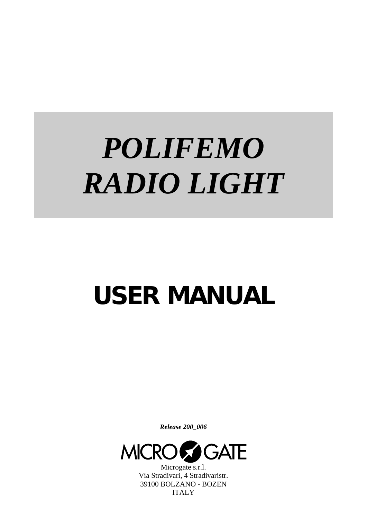# *POLIFEMO RADIO LIGHT*

## **USER MANUAL**

*Release 200\_006* 



Microgate s.r.l. Via Stradivari, 4 Stradivaristr. 39100 BOLZANO - BOZEN ITALY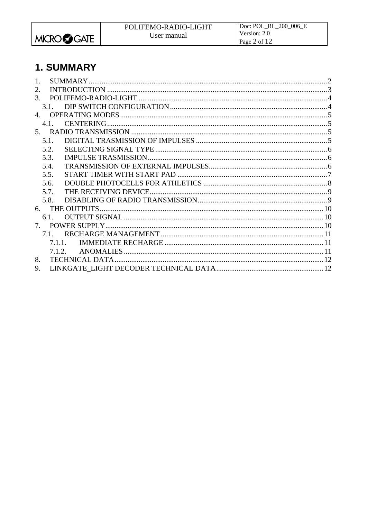<span id="page-1-0"></span>

## 1. SUMMARY

| 2.                     |        |  |
|------------------------|--------|--|
| $\mathcal{R}_{\alpha}$ |        |  |
|                        | 31     |  |
|                        |        |  |
|                        | 4.1    |  |
|                        |        |  |
| 5.1                    |        |  |
| 5.2.                   |        |  |
| 5.3.                   |        |  |
| 5.4.                   |        |  |
| 5.5.                   |        |  |
| 5.6.                   |        |  |
| 5.7.                   |        |  |
| 5.8.                   |        |  |
|                        |        |  |
|                        | 6.1.   |  |
|                        |        |  |
|                        | 7.1    |  |
|                        | 7.1.1. |  |
|                        | 7.1.2  |  |
| 8.                     |        |  |
| 9.                     |        |  |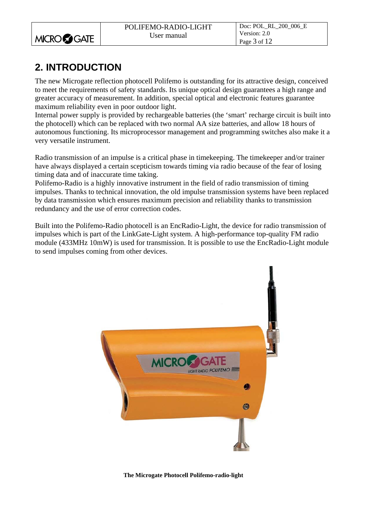<span id="page-2-0"></span>

## **2. INTRODUCTION**

The new Microgate reflection photocell Polifemo is outstanding for its attractive design, conceived to meet the requirements of safety standards. Its unique optical design guarantees a high range and greater accuracy of measurement. In addition, special optical and electronic features guarantee maximum reliability even in poor outdoor light.

Internal power supply is provided by rechargeable batteries (the 'smart' recharge circuit is built into the photocell) which can be replaced with two normal AA size batteries, and allow 18 hours of autonomous functioning. Its microprocessor management and programming switches also make it a very versatile instrument.

Radio transmission of an impulse is a critical phase in timekeeping. The timekeeper and/or trainer have always displayed a certain scepticism towards timing via radio because of the fear of losing timing data and of inaccurate time taking.

Polifemo-Radio is a highly innovative instrument in the field of radio transmission of timing impulses. Thanks to technical innovation, the old impulse transmission systems have been replaced by data transmission which ensures maximum precision and reliability thanks to transmission redundancy and the use of error correction codes.

Built into the Polifemo-Radio photocell is an EncRadio-Light, the device for radio transmission of impulses which is part of the LinkGate-Light system. A high-performance top-quality FM radio module (433MHz 10mW) is used for transmission. It is possible to use the EncRadio-Light module to send impulses coming from other devices.

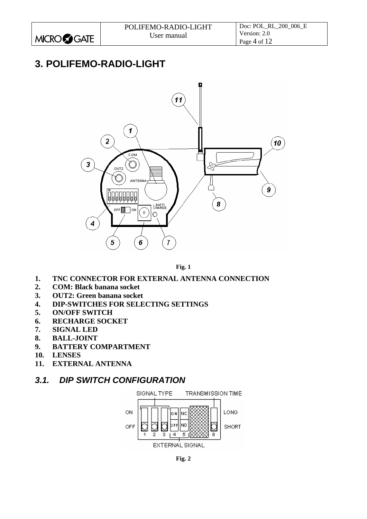## <span id="page-3-0"></span>**3. POLIFEMO-RADIO-LIGHT**



**Fig. 1** 

#### <span id="page-3-1"></span>**1. TNC CONNECTOR FOR EXTERNAL ANTENNA CONNECTION**

- **2. COM: Black banana socket**
- **3. OUT2: Green banana socket**
- **4. DIP-SWITCHES FOR SELECTING SETTINGS**
- **5. ON/OFF SWITCH**
- **6. RECHARGE SOCKET**
- **7. SIGNAL LED**
- **8. BALL-JOINT**
- **9. BATTERY COMPARTMENT**
- **10. LENSES**
- **11. EXTERNAL ANTENNA**

#### *3.1. DIP SWITCH CONFIGURATION*



**Fig. 2**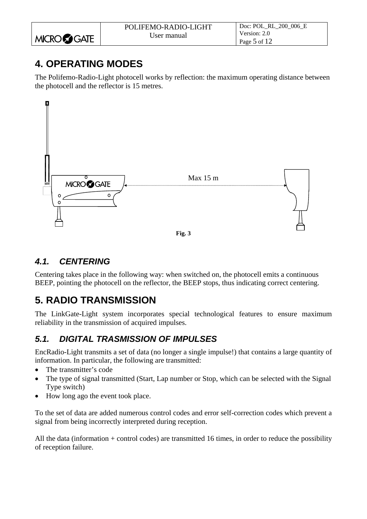<span id="page-4-0"></span>

|                      | POLIFEMO-RADIO-LIGHT | Doc: POL RL 200 006 E |
|----------------------|----------------------|-----------------------|
|                      | User manual          | Version: 2.0          |
| MICRO <b>CO</b> GATE |                      | Page 5 of 12          |

## **4. OPERATING MODES**

The Polifemo-Radio-Light photocell works by reflection: the maximum operating distance between the photocell and the reflector is 15 metres.



#### *4.1. CENTERING*

Centering takes place in the following way: when switched on, the photocell emits a continuous BEEP, pointing the photocell on the reflector, the BEEP stops, thus indicating correct centering.

## **5. RADIO TRANSMISSION**

The LinkGate-Light system incorporates special technological features to ensure maximum reliability in the transmission of acquired impulses.

#### *5.1. DIGITAL TRASMISSION OF IMPULSES*

EncRadio-Light transmits a set of data (no longer a single impulse!) that contains a large quantity of information. In particular, the following are transmitted:

- The transmitter's code
- The type of signal transmitted (Start, Lap number or Stop, which can be selected with the Signal Type switch)
- How long ago the event took place.

To the set of data are added numerous control codes and error self-correction codes which prevent a signal from being incorrectly interpreted during reception.

All the data (information + control codes) are transmitted 16 times, in order to reduce the possibility of reception failure.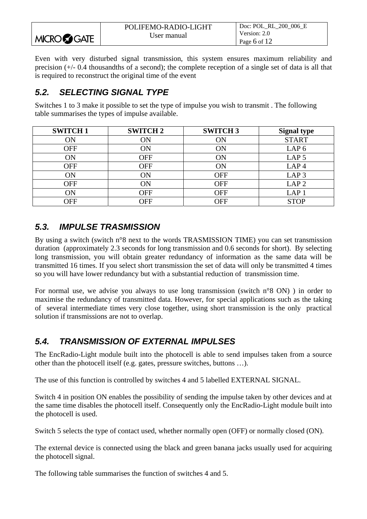<span id="page-5-0"></span>

|                    | POLIFEMO-RADIO-LIGHT | Doc: POL RL 200 006 E |
|--------------------|----------------------|-----------------------|
|                    | User manual          | Version: 2.0          |
| <b>MICROCOGATE</b> |                      | Page 6 of 12          |

Even with very disturbed signal transmission, this system ensures maximum reliability and precision (+/- 0.4 thousandths of a second); the complete reception of a single set of data is all that is required to reconstruct the original time of the event

#### *5.2. SELECTING SIGNAL TYPE*

Switches 1 to 3 make it possible to set the type of impulse you wish to transmit . The following table summarises the types of impulse available.

| <b>SWITCH 1</b> | <b>SWITCH 2</b> | <b>SWITCH3</b> | <b>Signal type</b> |
|-----------------|-----------------|----------------|--------------------|
| ÓN              | ON              | ON             | <b>START</b>       |
| <b>OFF</b>      | ON              | ON             | LAP <sub>6</sub>   |
| ON              | <b>OFF</b>      | ON             | LAP <sub>5</sub>   |
| <b>OFF</b>      | <b>OFF</b>      | ON             | LAP <sub>4</sub>   |
| ON              | ON              | <b>OFF</b>     | LAP <sub>3</sub>   |
| <b>OFF</b>      | ON              | <b>OFF</b>     | LAP <sub>2</sub>   |
| ON              | <b>OFF</b>      | <b>OFF</b>     | LAP <sub>1</sub>   |
| OFF             | OFF             | OFF            | <b>STOP</b>        |

#### *5.3. IMPULSE TRASMISSION*

By using a switch (switch n°8 next to the words TRASMISSION TIME) you can set transmission duration (approximately 2.3 seconds for long transmission and 0.6 seconds for short). By selecting long transmission, you will obtain greater redundancy of information as the same data will be transmitted 16 times. If you select short transmission the set of data will only be transmitted 4 times so you will have lower redundancy but with a substantial reduction of transmission time.

For normal use, we advise you always to use long transmission (switch n°8 ON) ) in order to maximise the redundancy of transmitted data. However, for special applications such as the taking of several intermediate times very close together, using short transmission is the only practical solution if transmissions are not to overlap.

#### *5.4. TRANSMISSION OF EXTERNAL IMPULSES*

The EncRadio-Light module built into the photocell is able to send impulses taken from a source other than the photocell itself (e.g. gates, pressure switches, buttons …).

The use of this function is controlled by switches 4 and 5 labelled EXTERNAL SIGNAL.

Switch 4 in position ON enables the possibility of sending the impulse taken by other devices and at the same time disables the photocell itself. Consequently only the EncRadio-Light module built into the photocell is used.

Switch 5 selects the type of contact used, whether normally open (OFF) or normally closed (ON).

The external device is connected using the black and green banana jacks usually used for acquiring the photocell signal.

The following table summarises the function of switches 4 and 5.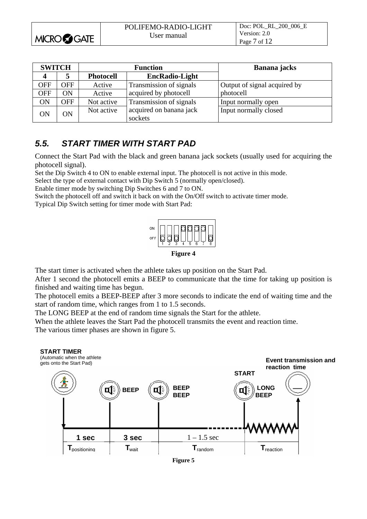<span id="page-6-0"></span>

|                    | POLIFEMO-RADIO-LIGHT | Doc: POL RL 200 006 E |
|--------------------|----------------------|-----------------------|
|                    | User manual          | Version: 2.0          |
| <b>MICROCOGATE</b> |                      | Page 7 of 12          |

| <b>SWITCH</b> |            |                  | <b>Function</b>                    | Banana jacks                 |
|---------------|------------|------------------|------------------------------------|------------------------------|
|               |            | <b>Photocell</b> | <b>EncRadio-Light</b>              |                              |
| OFF           | <b>OFF</b> | Active           | Transmission of signals            | Output of signal acquired by |
| <b>OFF</b>    | ON         | Active           | acquired by photocell              | photocell                    |
| ON            | <b>OFF</b> | Not active       | Transmission of signals            | Input normally open          |
| ON            | OΝ         | Not active       | acquired on banana jack<br>sockets | Input normally closed        |

#### *5.5. START TIMER WITH START PAD*

Connect the Start Pad with the black and green banana jack sockets (usually used for acquiring the photocell signal).

Set the Dip Switch 4 to ON to enable external input. The photocell is not active in this mode.

Select the type of external contact with Dip Switch 5 (normally open/closed).

Enable timer mode by switching Dip Switches 6 and 7 to ON.

Switch the photocell off and switch it back on with the On/Off switch to activate timer mode.

Typical Dip Switch setting for timer mode with Start Pad:



**Figure 4**

The start timer is activated when the athlete takes up position on the Start Pad.

After 1 second the photocell emits a BEEP to communicate that the time for taking up position is finished and waiting time has begun.

The photocell emits a BEEP-BEEP after 3 more seconds to indicate the end of waiting time and the start of random time, which ranges from 1 to 1.5 seconds.

The LONG BEEP at the end of random time signals the Start for the athlete.

When the athlete leaves the Start Pad the photocell transmits the event and reaction time. The various timer phases are shown in figure 5.



**Figure 5**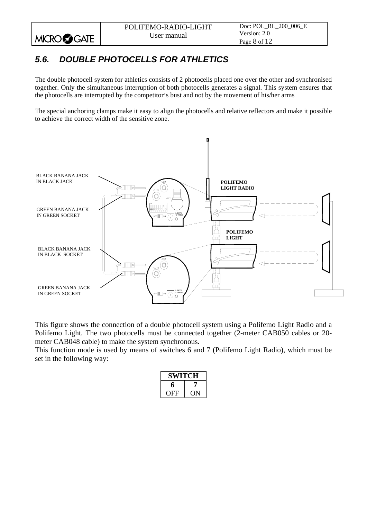### *5.6. DOUBLE PHOTOCELLS FOR ATHLETICS*

<span id="page-7-0"></span>**MICROCOGATE** 

The double photocell system for athletics consists of 2 photocells placed one over the other and synchronised together. Only the simultaneous interruption of both photocells generates a signal. This system ensures that the photocells are interrupted by the competitor's bust and not by the movement of his/her arms

The special anchoring clamps make it easy to align the photocells and relative reflectors and make it possible to achieve the correct width of the sensitive zone.



This figure shows the connection of a double photocell system using a Polifemo Light Radio and a Polifemo Light. The two photocells must be connected together (2-meter CAB050 cables or 20 meter CAB048 cable) to make the system synchronous.

This function mode is used by means of switches 6 and 7 (Polifemo Light Radio), which must be set in the following way:

| <b>SWITCH</b> |  |
|---------------|--|
| 6             |  |
| OFF           |  |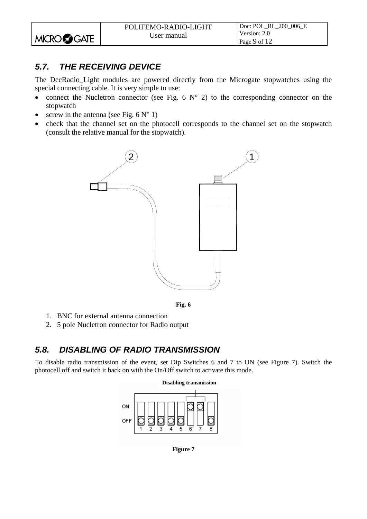#### <span id="page-8-0"></span>*5.7. THE RECEIVING DEVICE*

The DecRadio\_Light modules are powered directly from the Microgate stopwatches using the special connecting cable. It is very simple to use:

- connect the Nucletron connector (see Fig. 6  $N^{\circ}$  2) to the corresponding connector on the stopwatch
- screw in the antenna (see Fig.  $6 N^{\circ}$  1)
- check that the channel set on the photocell corresponds to the channel set on the stopwatch (consult the relative manual for the stopwatch).





- 1. BNC for external antenna connection
- 2. 5 pole Nucletron connector for Radio output

#### *5.8. DISABLING OF RADIO TRANSMISSION*

To disable radio transmission of the event, set Dip Switches 6 and 7 to ON (see Figure 7). Switch the photocell off and switch it back on with the On/Off switch to activate this mode.



**Figure 7**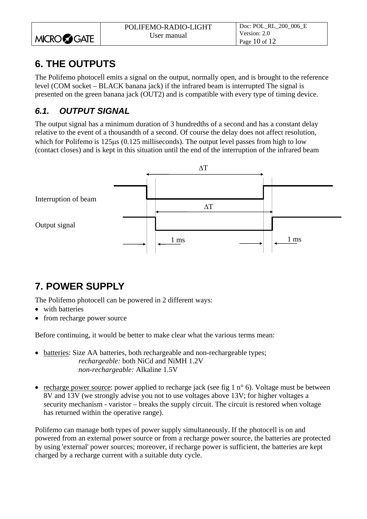<span id="page-9-0"></span>

|                    | POLIFEMO-RADIO-LIGHT | Doc: POL RL 200 006 E |
|--------------------|----------------------|-----------------------|
|                    | User manual          | Version: 2.0          |
| <b>MICROCOGATE</b> |                      | Page 10 of $12$       |

## **6. THE OUTPUTS**

The Polifemo photocell emits a signal on the output, normally open, and is brought to the reference level (COM socket – BLACK banana jack) if the infrared beam is interrupted The signal is presented on the green banana jack (OUT2) and is compatible with every type of timing device.

#### *6.1. OUTPUT SIGNAL*

The output signal has a minimum duration of 3 hundredths of a second and has a constant delay relative to the event of a thousandth of a second. Of course the delay does not affect resolution, which for Polifemo is 125μs (0.125 milliseconds). The output level passes from high to low (contact closes) and is kept in this situation until the end of the interruption of the infrared beam



## **7. POWER SUPPLY**

The Polifemo photocell can be powered in 2 different ways:

- with batteries
- from recharge power source

Before continuing, it would be better to make clear what the various terms mean:

- batteries: Size AA batteries, both rechargeable and non-rechargeable types; *rechargeable:* both NiCd and NiMH 1.2V *non-rechargeable:* Alkaline 1.5V
- recharge power source: power applied to recharge jack (see fig 1  $n^{\circ}$  6). Voltage must be between 8V and 13V (we strongly advise you not to use voltages above 13V; for higher voltages a security mechanism - varistor – breaks the supply circuit. The circuit is restored when voltage has returned within the operative range).

Polifemo can manage both types of power supply simultaneously. If the photocell is on and powered from an external power source or from a recharge power source, the batteries are protected by using 'external' power sources; moreover, if recharge power is sufficient, the batteries are kept charged by a recharge current with a suitable duty cycle.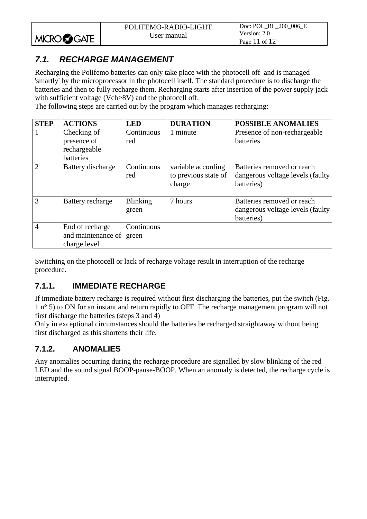#### <span id="page-10-0"></span>*7.1. RECHARGE MANAGEMENT*

Recharging the Polifemo batteries can only take place with the photocell off and is managed 'smartly' by the microprocessor in the photocell itself. The standard procedure is to discharge the batteries and then to fully recharge them. Recharging starts after insertion of the power supply jack with sufficient voltage (Vch>8V) and the photocell off.

The following steps are carried out by the program which manages recharging:

| <b>STEP</b>    | <b>ACTIONS</b>                                        | <b>LED</b>               | <b>DURATION</b>                                      | <b>POSSIBLE ANOMALIES</b>                                                     |
|----------------|-------------------------------------------------------|--------------------------|------------------------------------------------------|-------------------------------------------------------------------------------|
|                | Checking of                                           | Continuous               | 1 minute                                             | Presence of non-rechargeable                                                  |
|                | presence of                                           | red                      |                                                      | batteries                                                                     |
|                | rechargeable                                          |                          |                                                      |                                                                               |
|                | batteries                                             |                          |                                                      |                                                                               |
| $\overline{2}$ | Battery discharge                                     | Continuous<br>red        | variable according<br>to previous state of<br>charge | Batteries removed or reach<br>dangerous voltage levels (faulty)<br>batteries) |
| $\overline{3}$ | Battery recharge                                      | <b>Blinking</b><br>green | 7 hours                                              | Batteries removed or reach<br>dangerous voltage levels (faulty)<br>batteries) |
| $\overline{4}$ | End of recharge<br>and maintenance of<br>charge level | Continuous<br>green      |                                                      |                                                                               |

Switching on the photocell or lack of recharge voltage result in interruption of the recharge procedure.

#### **7.1.1. IMMEDIATE RECHARGE**

If immediate battery recharge is required without first discharging the batteries, put the switch ([Fig.](#page-3-1)  [1](#page-3-1) n° 5) to ON for an instant and return rapidly to OFF. The recharge management program will not first discharge the batteries (steps 3 and 4)

Only in exceptional circumstances should the batteries be recharged straightaway without being first discharged as this shortens their life.

#### **7.1.2. ANOMALIES**

Any anomalies occurring during the recharge procedure are signalled by slow blinking of the red LED and the sound signal BOOP-pause-BOOP. When an anomaly is detected, the recharge cycle is interrupted.